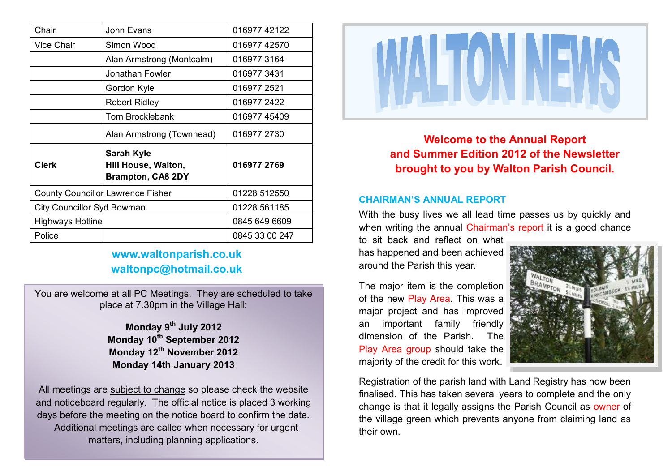| Chair                                    | John Evans                                                           | 016977 42122   |
|------------------------------------------|----------------------------------------------------------------------|----------------|
| <b>Vice Chair</b>                        | Simon Wood                                                           | 016977 42570   |
|                                          | Alan Armstrong (Montcalm)                                            | 016977 3164    |
|                                          | Jonathan Fowler                                                      | 0169773431     |
|                                          | Gordon Kyle                                                          | 016977 2521    |
|                                          | <b>Robert Ridley</b>                                                 | 016977 2422    |
|                                          | <b>Tom Brocklebank</b>                                               | 01697745409    |
|                                          | Alan Armstrong (Townhead)                                            | 016977 2730    |
| <b>Clerk</b>                             | <b>Sarah Kyle</b><br>Hill House, Walton,<br><b>Brampton, CA8 2DY</b> | 016977 2769    |
| <b>County Councillor Lawrence Fisher</b> |                                                                      | 01228 512550   |
| <b>City Councillor Syd Bowman</b>        |                                                                      | 01228 561185   |
| <b>Highways Hotline</b>                  |                                                                      | 0845 649 6609  |
| Police                                   |                                                                      | 0845 33 00 247 |

# **www.waltonparish.co.uk waltonpc@hotmail.co.uk**

You are welcome at all PC Meetings. They are scheduled to take place at 7.30pm in the Village Hall:

> **Monday 9th July 2012 Monday 10th September 2012 Monday 12th November 2012 Monday 14th January 2013**

All meetings are subject to change so please check the website and noticeboard regularly. The official notice is placed 3 working days before the meeting on the notice board to confirm the date. Additional meetings are called when necessary for urgent matters, including planning applications.



**Welcome to the Annual Report and Summer Edition 2012 of the Newsletter brought to you by Walton Parish Council.**

## **CHAIRMAN'S ANNUAL REPORT**

With the busy lives we all lead time passes us by quickly and when writing the annual Chairman's report it is a good chance

to sit back and reflect on what has happened and been achieved around the Parish this year.

The major item is the completion of the new Play Area. This was a major project and has improved an important family friendly dimension of the Parish. The Play Area group should take the majority of the credit for this work.



Registration of the parish land with Land Registry has now been finalised. This has taken several years to complete and the only change is that it legally assigns the Parish Council as owner of the village green which prevents anyone from claiming land as their own.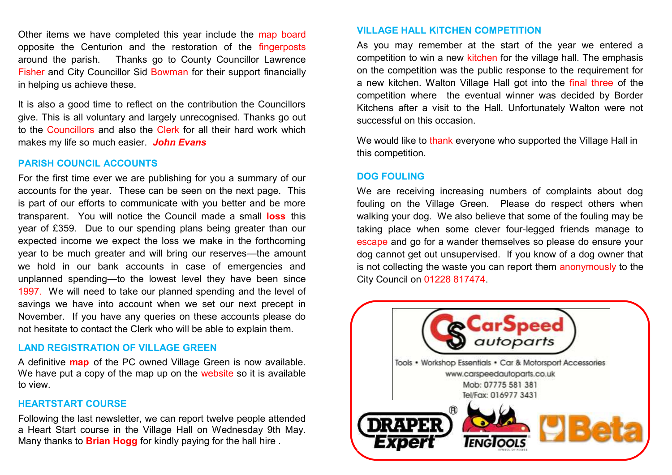Other items we have completed this year include the map board opposite the Centurion and the restoration of the fingerposts around the parish. Thanks go to County Councillor Lawrence Fisher and City Councillor Sid Bowman for their support financially in helping us achieve these.

It is also a good time to reflect on the contribution the Councillors give. This is all voluntary and largely unrecognised. Thanks go out to the Councillors and also the Clerk for all their hard work which makes my life so much easier. *John Evans*

# **PARISH COUNCIL ACCOUNTS**

For the first time ever we are publishing for you a summary of our accounts for the year. These can be seen on the next page. This is part of our efforts to communicate with you better and be more transparent. You will notice the Council made a small **loss** this year of £359. Due to our spending plans being greater than our expected income we expect the loss we make in the forthcoming year to be much greater and will bring our reserves—the amount we hold in our bank accounts in case of emergencies and unplanned spending—to the lowest level they have been since 1997. We will need to take our planned spending and the level of savings we have into account when we set our next precept in November. If you have any queries on these accounts please do not hesitate to contact the Clerk who will be able to explain them.

### **LAND REGISTRATION OF VILLAGE GREEN**

A definitive **map** of the PC owned Village Green is now available. We have put a copy of the map up on the website so it is available to view.

### **HEARTSTART COURSE**

Following the last newsletter, we can report twelve people attended a Heart Start course in the Village Hall on Wednesday 9th May. Many thanks to **Brian Hogg** for kindly paying for the hall hire .

# **VILLAGE HALL KITCHEN COMPETITION**

As you may remember at the start of the year we entered a competition to win a new kitchen for the village hall. The emphasis on the competition was the public response to the requirement for a new kitchen. Walton Village Hall got into the final three of the competition where the eventual winner was decided by Border Kitchens after a visit to the Hall. Unfortunately Walton were not successful on this occasion.

We would like to thank everyone who supported the Village Hall in this competition.

### **DOG FOULING**

We are receiving increasing numbers of complaints about dog fouling on the Village Green. Please do respect others when walking your dog. We also believe that some of the fouling may be taking place when some clever four-legged friends manage to escape and go for a wander themselves so please do ensure your dog cannot get out unsupervised. If you know of a dog owner that is not collecting the waste you can report them anonymously to the City Council on 01228 817474.

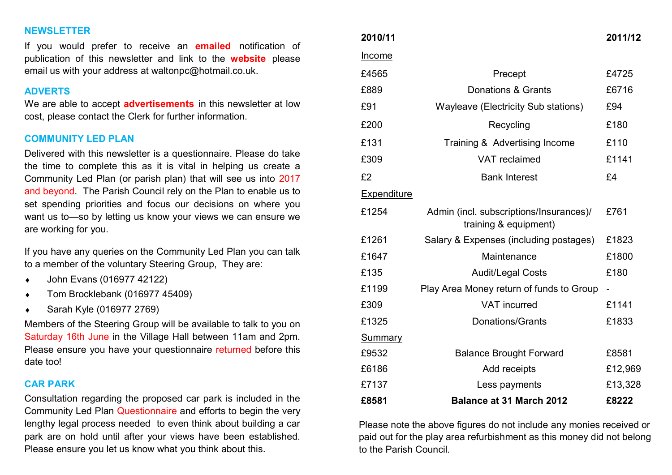# **NEWSLETTER**

If you would prefer to receive an **emailed** notification of publication of this newsletter and link to the **website** please email us with your address at waltonpc@hotmail.co.uk.

#### **ADVERTS**

We are able to accept **advertisements** in this newsletter at low cost, please contact the Clerk for further information.

### **COMMUNITY LED PLAN**

Delivered with this newsletter is a questionnaire. Please do take the time to complete this as it is vital in helping us create a Community Led Plan (or parish plan) that will see us into 2017 and beyond. The Parish Council rely on the Plan to enable us to set spending priorities and focus our decisions on where you want us to—so by letting us know your views we can ensure we are working for you.

If you have any queries on the Community Led Plan you can talk to a member of the voluntary Steering Group, They are:

- John Evans (016977 42122)
- ◆ Tom Brocklebank (016977 45409)
- Sarah Kyle (016977 2769)

Members of the Steering Group will be available to talk to you on Saturday 16th June in the Village Hall between 11am and 2pm. Please ensure you have your questionnaire returned before this date too!

#### **CAR PARK**

Consultation regarding the proposed car park is included in the Community Led Plan Questionnaire and efforts to begin the very lengthy legal process needed to even think about building a car park are on hold until after your views have been established. Please ensure you let us know what you think about this.

| 2010/11        |                                                                  | 2011/12 |
|----------------|------------------------------------------------------------------|---------|
| <u>Income</u>  |                                                                  |         |
| £4565          | Precept                                                          | £4725   |
| £889           | Donations & Grants                                               | £6716   |
| £91            | <b>Wayleave (Electricity Sub stations)</b>                       | £94     |
| £200           | Recycling                                                        | £180    |
| £131           | Training & Advertising Income                                    | £110    |
| £309           | VAT reclaimed                                                    | £1141   |
| £2             | <b>Bank Interest</b>                                             | £4      |
| Expenditure    |                                                                  |         |
| £1254          | Admin (incl. subscriptions/Insurances)/<br>training & equipment) | £761    |
| £1261          | Salary & Expenses (including postages)                           | £1823   |
| £1647          | Maintenance                                                      | £1800   |
| £135           | <b>Audit/Legal Costs</b>                                         | £180    |
| £1199          | Play Area Money return of funds to Group                         |         |
| £309           | <b>VAT</b> incurred                                              | £1141   |
| £1325          | Donations/Grants                                                 | £1833   |
| <b>Summary</b> |                                                                  |         |
| £9532          | <b>Balance Brought Forward</b>                                   | £8581   |
| £6186          | Add receipts                                                     | £12,969 |
| £7137          | Less payments                                                    | £13,328 |
| £8581          | <b>Balance at 31 March 2012</b>                                  | £8222   |

Please note the above figures do not include any monies received or paid out for the play area refurbishment as this money did not belong to the Parish Council.